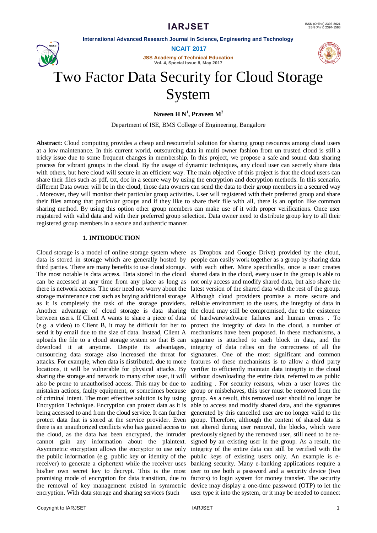

**NCAIT 2017**

**JSS Academy of Technical Education Vol. 4, Special Issue 8, May 2017**



# Two Factor Data Security for Cloud Storage System

**Naveen H N<sup>1</sup> , Praveen M<sup>2</sup>**

Department of ISE, BMS College of Engineering, Bangalore

**Abstract:** Cloud computing provides a cheap and resourceful solution for sharing group resources among cloud users at a low maintenance. In this current world, outsourcing data in multi owner fashion from un trusted cloud is still a tricky issue due to some frequent changes in membership. In this project, we propose a safe and sound data sharing process for vibrant groups in the cloud. By the usage of dynamic techniques, any cloud user can secretly share data with others, but here cloud will secure in an efficient way. The main objective of this project is that the cloud users can share their files such as pdf, txt, doc in a secure way by using the encryption and decryption methods. In this scenario, different Data owner will be in the cloud, those data owners can send the data to their group members in a secured way . Moreover, they will monitor their particular group activities. User will registered with their preferred group and share their files among that particular groups and if they like to share their file with all, there is an option like common sharing method. By using this option other group members can make use of it with proper verifications. Once user registered with valid data and with their preferred group selection. Data owner need to distribute group key to all their registered group members in a secure and authentic manner.

## **1. INTRODUCTION**

Cloud storage is a model of online storage system where as Dropbox and Google Drive) provided by the cloud, data is stored in storage which are generally hosted by people can easily work together as a group by sharing data third parties. There are many benefits to use cloud storage. with each other. More specifically, once a user creates The most notable is data access. Data stored in the cloud shared data in the cloud, every user in the group is able to can be accessed at any time from any place as long as not only access and modify shared data, but also share the there is network access. The user need not worry about the latest version of the shared data with the rest of the group. storage maintenance cost such as buying additional storage Although cloud providers promise a more secure and as it is completely the task of the storage providers. reliable environment to the users, the integrity of data in Another advantage of cloud storage is data sharing the cloud may still be compromised, due to the existence between users. If Client A wants to share a piece of data of hardware/software failures and human errors . To (e.g. a video) to Client B, it may be difficult for her to protect the integrity of data in the cloud, a number of send it by email due to the size of data. Instead, Client A mechanisms have been proposed. In these mechanisms, a uploads the file to a cloud storage system so that B can signature is attached to each block in data, and the download it at anytime. Despite its advantages, integrity of data relies on the correctness of all the outsourcing data storage also increased the threat for signatures. One of the most significant and common attacks. For example, when data is distributed, due to more features of these mechanisms is to allow a third party locations, it will be vulnerable for physical attacks. By verifier to efficiently maintain data integrity in the cloud sharing the storage and network to many other user, it will without downloading the entire data, referred to as public also be prone to unauthorised access. This may be due to auditing . For security reasons, when a user leaves the mistaken actions, faulty equipment, or sometimes because group or misbehaves, this user must be removed from the of criminal intent. The most effective solution is by using group. As a result, this removed user should no longer be Encryption Technique. Encryption can protect data as it is able to access and modify shared data, and the signatures being accessed to and from the cloud service. It can further generated by this cancelled user are no longer valid to the protect data that is stored at the service provider. Even group. Therefore, although the content of shared data is there is an unauthorized conflicts who has gained access to not altered during user removal, the blocks, which were the cloud, as the data has been encrypted, the intruder previously signed by the removed user, still need to be recannot gain any information about the plaintext. signed by an existing user in the group. As a result, the Asymmetric encryption allows the encryptor to use only integrity of the entire data can still be verified with the the public information (e.g. public key or identity of the public keys of existing users only. An example is ereceiver) to generate a ciphertext while the receiver uses his/her own secret key to decrypt. This is the most user to use both a password and a security device (two promising mode of encryption for data transition, due to factors) to login system for money transfer. The security the removal of key management existed in symmetric device may display a one-time password (OTP) to let the encryption. With data storage and sharing services (such

banking security. Many e-banking applications require a user type it into the system, or it may be needed to connect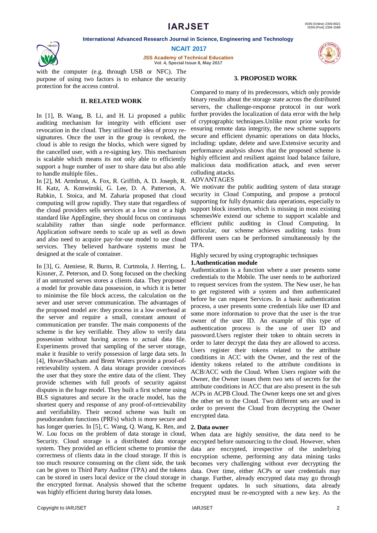

**NCAIT 2017**

**JSS Academy of Technical Education Vol. 4, Special Issue 8, May 2017**

with the computer (e.g. through USB or NFC). The purpose of using two factors is to enhance the security protection for the access control.

# **II. RELATED WORK**

In [1], B. Wang, B. Li, and H. Li proposed a public auditing mechanism for integrity with efficient user revocation in the cloud. They utilised the idea of proxy resignatures. Once the user in the group is revoked, the cloud is able to resign the blocks, which were signed by the cancelled user, with a re-signing key. This mechanism is scalable which means its not only able to efficiently support a huge number of user to share data but also able to handle multiple files..

In [2], M. Armbrust, A. Fox, R. Griffith, A. D. Joseph, R. H. Katz, A. Konwinski, G. Lee, D. A. Patterson, A. Rabkin, I. Stoica, and M. Zaharia proposed that cloud computing will grow rapidly. They state that regardless of the cloud providers sells services at a low cost or a high standard like AppEngine, they should focus on continuous scalability rather than single node performance. Application software needs to scale up as well as down and also need to acquire pay-for-use model to use cloud services. They believed hardware systems must be designed at the scale of container.

In [3], G. Ateniese, R. Burns, R. Curtmola, J. Herring, L. Kissner, Z. Peterson, and D. Song focused on the checking if an untrusted serves stores a clients data. They proposed a model for provable data possession, in which it is better to minimise the file block access, the calculation on the sever and user server communication. The advantages of the proposed model are: they process in a low overhead at the server and require a small, constant amount of communication per transfer. The main components of the scheme is the key verifiable. They allow to verify data possession without having access to actual data file. Experiments proved that sampling of the server storage, make it feasible to verify possession of large data sets. In [4], HovavShacham and Brent Waters provide a proof-ofretrievability system. A data storage provider convinces the user that they store the entire data of the client. They provide schemes with full proofs of security against disputes in the huge model. They built a first scheme using BLS signatures and secure in the oracle model, has the shortest query and response of any proof-of-retrievability and verifiability. Their second scheme was built on pseudorandom functions (PRFs) which is more secure and has longer queries. In [5], C. Wang, Q. Wang, K. Ren, and W. Lou focus on the problem of data storage in cloud, Security. Cloud storage is a distributed data storage system. They provided an efficient scheme to promise the correctness of clients data in the cloud storage. If this is too much resource consuming on the client side, the task can be given to Third Party Auditor (TPA) and the tokens can be stored in users local device or the cloud storage in the encrypted format. Analysis showed that the scheme was highly efficient during bursty data losses.



#### **3. PROPOSED WORK**

Compared to many of its predecessors, which only provide binary results about the storage state across the distributed servers, the challenge-response protocol in our work further provides the localization of data error with the help of cryptographic techniques.Unlike most prior works for ensuring remote data integrity, the new scheme supports secure and efficient dynamic operations on data blocks, including: update, delete and save.Extensive security and performance analysis shows that the proposed scheme is highly efficient and resilient against load balance failure, malicious data modification attack, and even server colluding attacks.

## ADVANTAGES

We motivate the public auditing system of data storage security in Cloud Computing, and propose a protocol supporting for fully dynamic data operations, especially to support block insertion, which is missing in most existing schemesWe extend our scheme to support scalable and efficient public auditing in Cloud Computing. In particular, our scheme achieves auditing tasks from different users can be performed simultaneously by the TPA.

# Highly secured by using cryptographic techniques

# **1.Authentication module**

Authentication is a function where a user presents some credentials to the Mobile. The user needs to be authorized to request services from the system. The New user, he has to get registered with a system and then authenticated before he can request Services. In a basic authentication process, a user presents some credentials like user ID and some more information to prove that the user is the true owner of the user ID. An example of this type of authentication process is the use of user ID and password.Users register their token to obtain secrets in order to later decrypt the data they are allowed to access. Users register their tokens related to the attribute conditions in ACC with the Owner, and the rest of the identity tokens related to the attribute conditions in ACB/ACC with the Cloud. When Users register with the Owner, the Owner issues them two sets of secrets for the attribute conditions in ACC that are also present in the sub ACPs in ACPB Cloud. The Owner keeps one set and gives the other set to the Cloud. Two different sets are used in order to prevent the Cloud from decrypting the Owner encrypted data.

## **2. Data owner**

When data are highly sensitive, the data need to be encrypted before outsourcing to the cloud. However, when data are encrypted, irrespective of the underlying encryption scheme, performing any data mining tasks becomes very challenging without ever decrypting the data. Over time, either ACPs or user credentials may change. Further, already encrypted data may go through frequent updates. In such situations, data already encrypted must be re-encrypted with a new key. As the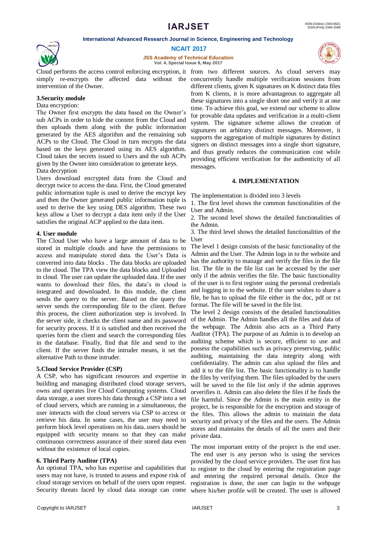

**NCAIT 2017**

**JSS Academy of Technical Education Vol. 4, Special Issue 8, May 2017**

Cloud performs the access control enforcing encryption, it from two different sources. As cloud servers may intervention of the Owner.

# **3.Security module**

# Data encryption:

The Owner first encrypts the data based on the Owner's sub ACPs in order to hide the content from the Cloud and then uploads them along with the public information generated by the AES algorithm and the remaining sub ACPs to the Cloud. The Cloud in turn encrypts the data based on the keys generated using its AES algorithm. Cloud takes the secrets issued to Users and the sub ACPs given by the Owner into consideration to generate keys.

## Data decryption

Users download encrypted data from the Cloud and decrypt twice to access the data. First, the Cloud generated public information tuple is used to derive the encrypt key and then the Owner generated public information tuple is used to derive the key using DES algorithm. These two keys allow a User to decrypt a data item only if the User satisfies the original ACP applied to the data item.

## **4. User module**

The Cloud User who have a large amount of data to be stored in multiple clouds and have the permissions to access and manipulate stored data. the User's Data is converted into data blocks . The data blocks are uploaded to the cloud. The TPA view the data blocks and Uploaded in cloud. The user can update the uploaded data. If the user wants to download their files, the data's in cloud is integrated and downloaded. In this module, the client sends the query to the server. Based on the query the server sends the corresponding file to the client. Before this process, the client authorization step is involved. In the server side, it checks the client name and its password for security process. If it is satisfied and then received the queries form the client and search the corresponding files in the database. Finally, find that file and send to the client. If the server finds the intruder means, it set the possess the capabilities such as privacy preserving, public alternative Path to those intruder.

## **5.Cloud Service Provider (CSP)**

A CSP, who has significant resources and expertise in building and managing distributed cloud storage servers, owns and operates live Cloud Computing systems. Cloud data storage, a user stores his data through a CSP into a set of cloud servers, which are running in a simultaneous, the user interacts with the cloud servers via CSP to access or retrieve his data. In some cases, the user may need to perform block level operations on his data..users should be equipped with security means so that they can make continuous correctness assurance of their stored data even without the existence of local copies.

# **6. Third Party Auditor (TPA)**

An optional TPA, who has expertise and capabilities that users may not have, is trusted to assess and expose risk of cloud storage services on behalf of the users upon request.

simply re-encrypts the affected data without the concurrently handle multiple verification sessions from different clients, given K signatures on K distinct data files from K clients, it is more advantageous to aggregate all these signatures into a single short one and verify it at one time. To achieve this goal, we extend our scheme to allow for provable data updates and verification in a multi-client system. The signature scheme allows the creation of signatures on arbitrary distinct messages. Moreover, it supports the aggregation of multiple signatures by distinct signers on distinct messages into a single short signature, and thus greatly reduces the communication cost while providing efficient verification for the authenticity of all messages.

## **4. IMPLEMENTATION**

The implementation is divided into 3 levels

1. The first level shows the common functionalities of the User and Admin.

2. The second level shows the detailed functionalities of the Admin.

3. The third level shows the detailed functionalities of the User

The level 1 design consists of the basic functionality of the Admin and the User. The Admin logs in to the website and has the authority to manage and verify the files in the file list. The file in the file list can be accessed by the user only if the admin verifies the file. The basic functionality of the user is to first register using the personal credentials and logging in to the website. If the user wishes to share a file, he has to upload the file either in the doc, pdf or txt format. The file will be saved in the file list.

The level 2 design consists of the detailed functionalities of the Admin. The Admin handles all the files and data of the webpage. The Admin also acts as a Third Party Auditor (TPA). The purpose of an Admin is to develop an auditing scheme which is secure, efficient to use and auditing, maintaining the data integrity along with confidentiality. The admin can also upload the files and add it to the file list. The basic functionality is to handle the files by verifying them. The files uploaded by the users will be saved to the file list only if the admin approves orverifies it. Admin can also delete the files if he finds the file harmful. Since the Admin is the main entity in the project, he is responsible for the encryption and storage of the files. This allows the admin to maintain the data security and privacy of the files and the users. The Admin stores and maintains the details of all the users and their private data.

Security threats faced by cloud data storage can come where his/her profile will be created. The user is allowed The most important entity of the project is the end user. The end user is any person who is using the services provided by the cloud service providers. The user first has to register to the cloud by entering the registration page and entering the required personal details. Once the registration is done, the user can login to the webpage